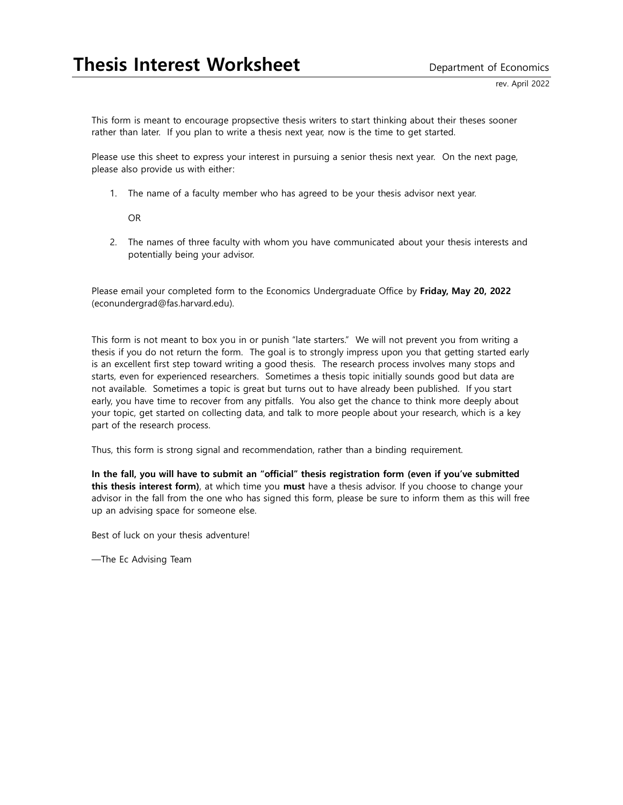This form is meant to encourage propsective thesis writers to start thinking about their theses sooner rather than later. If you plan to write a thesis next year, now is the time to get started.

Please use this sheet to express your interest in pursuing a senior thesis next year. On the next page, please also provide us with either:

1. The name of a faculty member who has agreed to be your thesis advisor next year.

OR

2. The names of three faculty with whom you have communicated about your thesis interests and potentially being your advisor.

Please email your completed form to the Economics Undergraduate Office by **Friday, May 20, 2022** (econundergrad@fas.harvard.edu).

This form is not meant to box you in or punish "late starters." We will not prevent you from writing a thesis if you do not return the form. The goal is to strongly impress upon you that getting started early is an excellent first step toward writing a good thesis. The research process involves many stops and starts, even for experienced researchers. Sometimes a thesis topic initially sounds good but data are not available. Sometimes a topic is great but turns out to have already been published. If you start early, you have time to recover from any pitfalls. You also get the chance to think more deeply about your topic, get started on collecting data, and talk to more people about your research, which is a key part of the research process.

Thus, this form is strong signal and recommendation, rather than a binding requirement.

**In the fall, you will have to submit an "official" thesis registration form (even if you've submitted this thesis interest form)**, at which time you **must** have a thesis advisor. If you choose to change your advisor in the fall from the one who has signed this form, please be sure to inform them as this will free up an advising space for someone else.

Best of luck on your thesis adventure!

—The Ec Advising Team